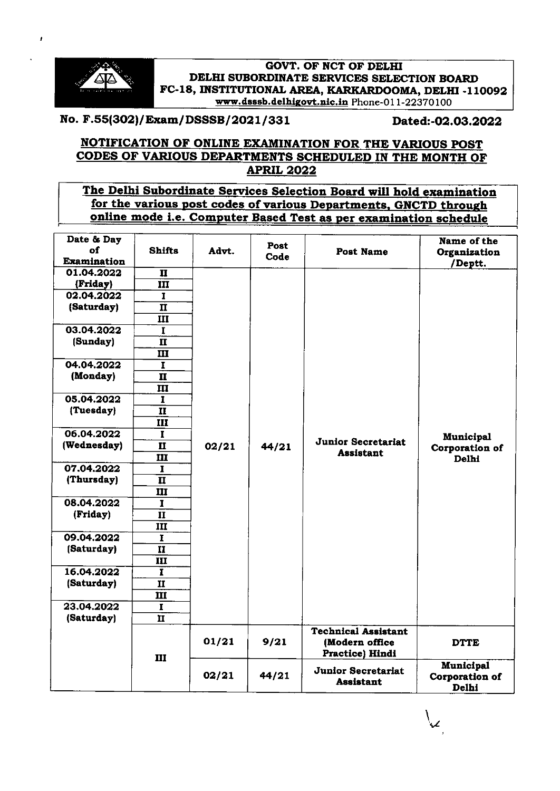

 $\mathbf{r}$ 

#### **GOVT. OF NCT OF DELHI** DELHI SUBORDINATE SERVICES SELECTION BOARD FC-18, INSTITUTIONAL AREA, KARKARDOOMA, DELHI -110092 www.dsssb.delhigovt.nic.in Phone-011-22370100

# No. F.55(302)/ Exam/ DSSSB/ 2021 / 331 Dated:-02.03.2022

## NOTIFICATION OF ONLINE EXAMINATION FOR THE VARIOUS POST CODES OF VARIOUS DEPARTMENTS SCHEDULED IN THE MONTH OF APRIL 2022

## The Delhi Subordinate Services Selection Board will hold examination for the various post codes of various Departments, GNCTD through online mode i.e. Computer Based Test as per examination schedule

| Date & Day<br>of<br><b>Examination</b> | <b>Shifts</b>           | Advt. | Post<br>Code | <b>Post Name</b>                                                        | Name of the<br>Organization<br>/Deptt.      |
|----------------------------------------|-------------------------|-------|--------------|-------------------------------------------------------------------------|---------------------------------------------|
| 01.04.2022                             | $\mathbf{I}$            |       |              |                                                                         |                                             |
| (Friday)                               | $\overline{\mathbf{m}}$ |       |              |                                                                         |                                             |
| 02.04.2022                             | $\overline{\mathbf{I}}$ |       |              |                                                                         |                                             |
| (Saturday)                             | $\mathbf{I}$            |       |              |                                                                         |                                             |
|                                        | $\overline{\mathbf{H}}$ |       |              |                                                                         |                                             |
| 03.04.2022                             | $\mathbf I$             |       |              |                                                                         |                                             |
| (Sunday)                               | $\mathbf{I}$            |       |              |                                                                         |                                             |
|                                        | III                     |       |              |                                                                         |                                             |
| 04.04.2022                             | $\overline{\mathbf{I}}$ |       |              |                                                                         |                                             |
| (Monday)                               | $\mathbf{H}$            |       |              |                                                                         |                                             |
|                                        | ш                       |       |              |                                                                         |                                             |
| 05.04.2022                             | 1                       |       |              |                                                                         |                                             |
| (Tuesday)                              | $\mathbf{H}$            |       |              |                                                                         |                                             |
|                                        | III                     |       |              |                                                                         |                                             |
| 06.04.2022                             | $\overline{I}$          |       |              |                                                                         | Municipal                                   |
| (Wednesday)                            | $\overline{\mathbf{H}}$ | 02/21 | 44/21        | <b>Junior Secretariat</b>                                               | Corporation of                              |
|                                        | III                     |       |              | <b>Assistant</b>                                                        | Delhi                                       |
| 07.04.2022                             | $\overline{\mathbf{I}}$ |       |              |                                                                         |                                             |
| (Thursday)                             | $\mathbf{I}$            |       |              |                                                                         |                                             |
|                                        | III                     |       |              |                                                                         |                                             |
| 08.04.2022                             | $\mathbf I$             |       |              |                                                                         |                                             |
| (Friday)                               | $\mathbf{I}$            |       |              |                                                                         |                                             |
|                                        | Ш                       |       |              |                                                                         |                                             |
| 09.04.2022                             | $\mathbf{r}$            |       |              |                                                                         |                                             |
| (Saturday)                             | $\overline{\mathbf{u}}$ |       |              |                                                                         |                                             |
|                                        | Ш                       |       |              |                                                                         |                                             |
| 16.04.2022                             | $\mathbf{I}$            |       |              |                                                                         |                                             |
| (Saturday)                             | II                      |       |              |                                                                         |                                             |
|                                        | Ш                       |       |              |                                                                         |                                             |
| 23.04.2022                             | $\overline{\mathbf{I}}$ |       |              |                                                                         |                                             |
| (Saturday)                             | $\overline{\mathbf{H}}$ |       |              |                                                                         |                                             |
|                                        | Ш                       | 01/21 | 9/21         | <b>Technical Assistant</b><br>(Modern office<br><b>Practice</b> ) Hindi | <b>DTTE</b>                                 |
|                                        |                         | 02/21 | 44/21        | <b>Junior Secretariat</b><br><b>Assistant</b>                           | <b>Municipal</b><br>Corporation of<br>Delhi |